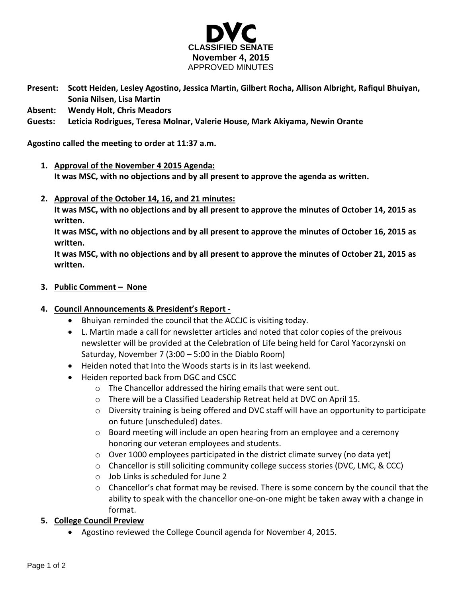

- **Present: Scott Heiden, Lesley Agostino, Jessica Martin, Gilbert Rocha, Allison Albright, Rafiqul Bhuiyan, Sonia Nilsen, Lisa Martin**
- **Absent: Wendy Holt, Chris Meadors**
- **Guests: Leticia Rodrigues, Teresa Molnar, Valerie House, Mark Akiyama, Newin Orante**

**Agostino called the meeting to order at 11:37 a.m.**

- **1. Approval of the November 4 2015 Agenda: It was MSC, with no objections and by all present to approve the agenda as written.**
- **2. Approval of the October 14, 16, and 21 minutes:**

**It was MSC, with no objections and by all present to approve the minutes of October 14, 2015 as written.** 

**It was MSC, with no objections and by all present to approve the minutes of October 16, 2015 as written.** 

**It was MSC, with no objections and by all present to approve the minutes of October 21, 2015 as written.** 

**3. Public Comment – None**

# **4. Council Announcements & President's Report -**

- Bhuiyan reminded the council that the ACCJC is visiting today.
- L. Martin made a call for newsletter articles and noted that color copies of the preivous newsletter will be provided at the Celebration of Life being held for Carol Yacorzynski on Saturday, November 7 (3:00 – 5:00 in the Diablo Room)
- Heiden noted that Into the Woods starts is in its last weekend.
- Heiden reported back from DGC and CSCC
	- o The Chancellor addressed the hiring emails that were sent out.
	- o There will be a Classified Leadership Retreat held at DVC on April 15.
	- o Diversity training is being offered and DVC staff will have an opportunity to participate on future (unscheduled) dates.
	- $\circ$  Board meeting will include an open hearing from an employee and a ceremony honoring our veteran employees and students.
	- $\circ$  Over 1000 employees participated in the district climate survey (no data yet)
	- $\circ$  Chancellor is still soliciting community college success stories (DVC, LMC, & CCC)
	- o Job Links is scheduled for June 2
	- $\circ$  Chancellor's chat format may be revised. There is some concern by the council that the ability to speak with the chancellor one-on-one might be taken away with a change in format.
- **5. College Council Preview**
	- Agostino reviewed the College Council agenda for November 4, 2015.